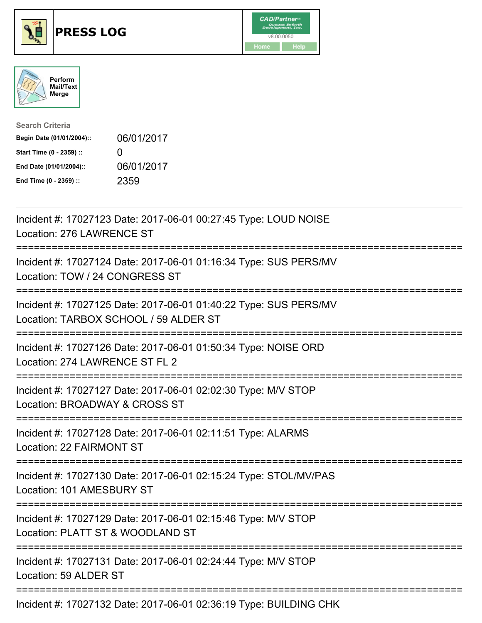





| <b>Search Criteria</b>    |                   |
|---------------------------|-------------------|
| Begin Date (01/01/2004):: | 06/01/2017        |
| Start Time (0 - 2359) ::  | $\mathbf{\Omega}$ |
| End Date (01/01/2004)::   | 06/01/2017        |
| End Time (0 - 2359) ::    | 2359              |

| Incident #: 17027123 Date: 2017-06-01 00:27:45 Type: LOUD NOISE<br>Location: 276 LAWRENCE ST                                                 |
|----------------------------------------------------------------------------------------------------------------------------------------------|
| Incident #: 17027124 Date: 2017-06-01 01:16:34 Type: SUS PERS/MV<br>Location: TOW / 24 CONGRESS ST                                           |
| Incident #: 17027125 Date: 2017-06-01 01:40:22 Type: SUS PERS/MV<br>Location: TARBOX SCHOOL / 59 ALDER ST                                    |
| Incident #: 17027126 Date: 2017-06-01 01:50:34 Type: NOISE ORD<br>Location: 274 LAWRENCE ST FL 2<br>===================                      |
| Incident #: 17027127 Date: 2017-06-01 02:02:30 Type: M/V STOP<br>Location: BROADWAY & CROSS ST<br>:=======================<br>.------------- |
| Incident #: 17027128 Date: 2017-06-01 02:11:51 Type: ALARMS<br>Location: 22 FAIRMONT ST                                                      |
| Incident #: 17027130 Date: 2017-06-01 02:15:24 Type: STOL/MV/PAS<br>Location: 101 AMESBURY ST<br>====================================        |
| Incident #: 17027129 Date: 2017-06-01 02:15:46 Type: M/V STOP<br>Location: PLATT ST & WOODLAND ST                                            |
| Incident #: 17027131 Date: 2017-06-01 02:24:44 Type: M/V STOP<br>Location: 59 ALDER ST                                                       |
| Incident #: 17027132 Date: 2017-06-01 02:36:19 Type: BUILDING CHK                                                                            |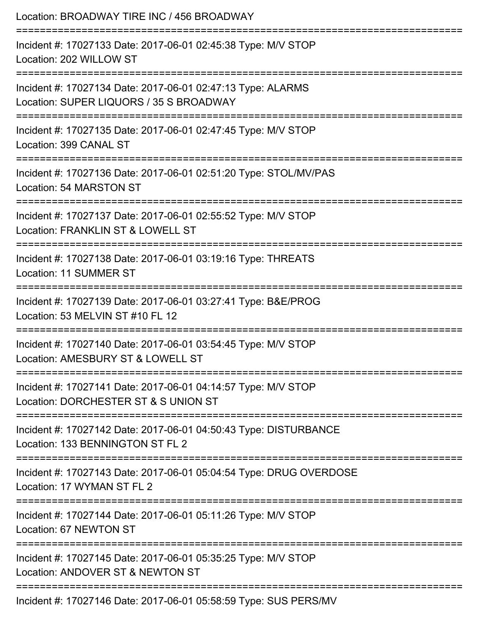| Location: BROADWAY TIRE INC / 456 BROADWAY                                                                                     |
|--------------------------------------------------------------------------------------------------------------------------------|
| Incident #: 17027133 Date: 2017-06-01 02:45:38 Type: M/V STOP<br>Location: 202 WILLOW ST                                       |
| Incident #: 17027134 Date: 2017-06-01 02:47:13 Type: ALARMS<br>Location: SUPER LIQUORS / 35 S BROADWAY                         |
| Incident #: 17027135 Date: 2017-06-01 02:47:45 Type: M/V STOP<br>Location: 399 CANAL ST<br>:================================== |
| Incident #: 17027136 Date: 2017-06-01 02:51:20 Type: STOL/MV/PAS<br>Location: 54 MARSTON ST                                    |
| Incident #: 17027137 Date: 2017-06-01 02:55:52 Type: M/V STOP<br>Location: FRANKLIN ST & LOWELL ST<br>================         |
| Incident #: 17027138 Date: 2017-06-01 03:19:16 Type: THREATS<br>Location: 11 SUMMER ST                                         |
| Incident #: 17027139 Date: 2017-06-01 03:27:41 Type: B&E/PROG<br>Location: 53 MELVIN ST #10 FL 12                              |
| Incident #: 17027140 Date: 2017-06-01 03:54:45 Type: M/V STOP<br>Location: AMESBURY ST & LOWELL ST                             |
| Incident #: 17027141 Date: 2017-06-01 04:14:57 Type: M/V STOP<br>Location: DORCHESTER ST & S UNION ST                          |
| Incident #: 17027142 Date: 2017-06-01 04:50:43 Type: DISTURBANCE<br>Location: 133 BENNINGTON ST FL 2                           |
| Incident #: 17027143 Date: 2017-06-01 05:04:54 Type: DRUG OVERDOSE<br>Location: 17 WYMAN ST FL 2                               |
| Incident #: 17027144 Date: 2017-06-01 05:11:26 Type: M/V STOP<br>Location: 67 NEWTON ST                                        |
| Incident #: 17027145 Date: 2017-06-01 05:35:25 Type: M/V STOP<br>Location: ANDOVER ST & NEWTON ST                              |
| Incident #: 17027146 Date: 2017-06-01 05:58:59 Type: SUS PERS/MV                                                               |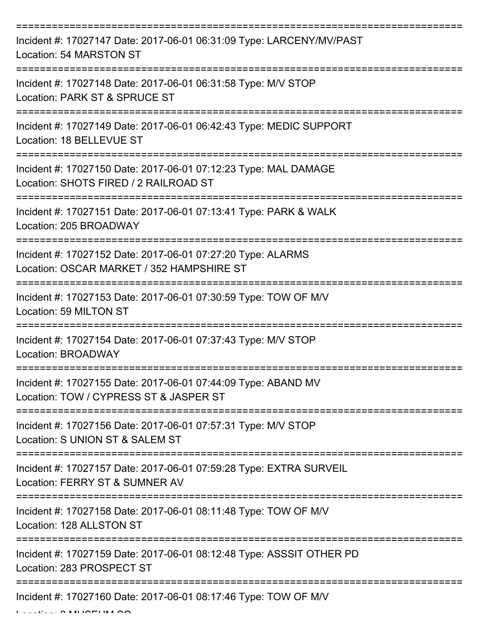| Incident #: 17027147 Date: 2017-06-01 06:31:09 Type: LARCENY/MV/PAST<br>Location: 54 MARSTON ST          |
|----------------------------------------------------------------------------------------------------------|
| Incident #: 17027148 Date: 2017-06-01 06:31:58 Type: M/V STOP<br>Location: PARK ST & SPRUCE ST           |
| Incident #: 17027149 Date: 2017-06-01 06:42:43 Type: MEDIC SUPPORT<br>Location: 18 BELLEVUE ST           |
| Incident #: 17027150 Date: 2017-06-01 07:12:23 Type: MAL DAMAGE<br>Location: SHOTS FIRED / 2 RAILROAD ST |
| Incident #: 17027151 Date: 2017-06-01 07:13:41 Type: PARK & WALK<br>Location: 205 BROADWAY               |
| Incident #: 17027152 Date: 2017-06-01 07:27:20 Type: ALARMS<br>Location: OSCAR MARKET / 352 HAMPSHIRE ST |
| Incident #: 17027153 Date: 2017-06-01 07:30:59 Type: TOW OF M/V<br>Location: 59 MILTON ST                |
| Incident #: 17027154 Date: 2017-06-01 07:37:43 Type: M/V STOP<br>Location: BROADWAY                      |
| Incident #: 17027155 Date: 2017-06-01 07:44:09 Type: ABAND MV<br>Location: TOW / CYPRESS ST & JASPER ST  |
| Incident #: 17027156 Date: 2017-06-01 07:57:31 Type: M/V STOP<br>Location: S UNION ST & SALEM ST         |
| Incident #: 17027157 Date: 2017-06-01 07:59:28 Type: EXTRA SURVEIL<br>Location: FERRY ST & SUMNER AV     |
| Incident #: 17027158 Date: 2017-06-01 08:11:48 Type: TOW OF M/V<br>Location: 128 ALLSTON ST              |
| Incident #: 17027159 Date: 2017-06-01 08:12:48 Type: ASSSIT OTHER PD<br>Location: 283 PROSPECT ST        |
| Incident #: 17027160 Date: 2017-06-01 08:17:46 Type: TOW OF M/V                                          |

 $L = L L L L L L R$  MUSEUM SQ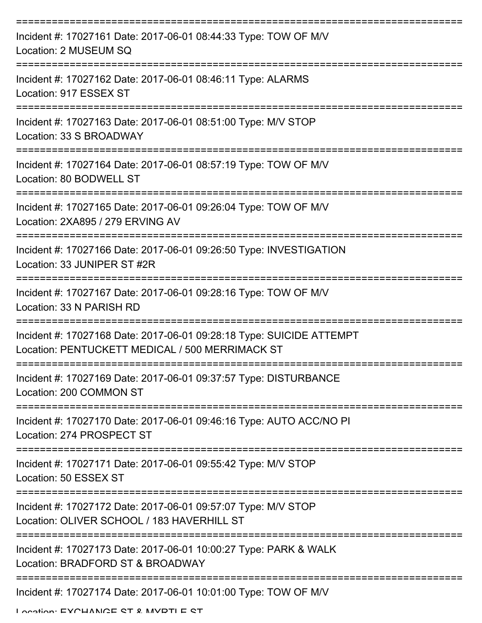| Incident #: 17027161 Date: 2017-06-01 08:44:33 Type: TOW OF M/V<br>Location: 2 MUSEUM SQ                                |
|-------------------------------------------------------------------------------------------------------------------------|
| Incident #: 17027162 Date: 2017-06-01 08:46:11 Type: ALARMS<br>Location: 917 ESSEX ST                                   |
| Incident #: 17027163 Date: 2017-06-01 08:51:00 Type: M/V STOP<br>Location: 33 S BROADWAY                                |
| Incident #: 17027164 Date: 2017-06-01 08:57:19 Type: TOW OF M/V<br>Location: 80 BODWELL ST                              |
| Incident #: 17027165 Date: 2017-06-01 09:26:04 Type: TOW OF M/V<br>Location: 2XA895 / 279 ERVING AV                     |
| Incident #: 17027166 Date: 2017-06-01 09:26:50 Type: INVESTIGATION<br>Location: 33 JUNIPER ST #2R                       |
| Incident #: 17027167 Date: 2017-06-01 09:28:16 Type: TOW OF M/V<br>Location: 33 N PARISH RD                             |
| Incident #: 17027168 Date: 2017-06-01 09:28:18 Type: SUICIDE ATTEMPT<br>Location: PENTUCKETT MEDICAL / 500 MERRIMACK ST |
| Incident #: 17027169 Date: 2017-06-01 09:37:57 Type: DISTURBANCE<br>Location: 200 COMMON ST                             |
| Incident #: 17027170 Date: 2017-06-01 09:46:16 Type: AUTO ACC/NO PI<br>Location: 274 PROSPECT ST                        |
| Incident #: 17027171 Date: 2017-06-01 09:55:42 Type: M/V STOP<br>Location: 50 ESSEX ST                                  |
| Incident #: 17027172 Date: 2017-06-01 09:57:07 Type: M/V STOP<br>Location: OLIVER SCHOOL / 183 HAVERHILL ST             |
| Incident #: 17027173 Date: 2017-06-01 10:00:27 Type: PARK & WALK<br>Location: BRADFORD ST & BROADWAY                    |
| Incident #: 17027174 Date: 2017-06-01 10:01:00 Type: TOW OF M/V                                                         |

Location: EVOUANICE ST & MVDTI E ST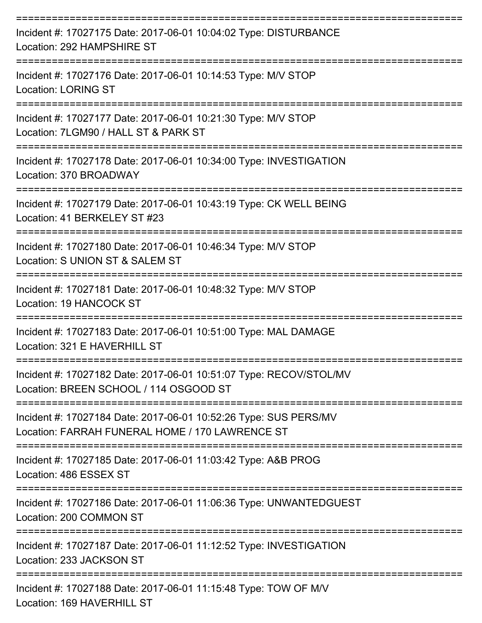| Incident #: 17027175 Date: 2017-06-01 10:04:02 Type: DISTURBANCE<br>Location: 292 HAMPSHIRE ST                      |
|---------------------------------------------------------------------------------------------------------------------|
| Incident #: 17027176 Date: 2017-06-01 10:14:53 Type: M/V STOP<br><b>Location: LORING ST</b>                         |
| Incident #: 17027177 Date: 2017-06-01 10:21:30 Type: M/V STOP<br>Location: 7LGM90 / HALL ST & PARK ST               |
| Incident #: 17027178 Date: 2017-06-01 10:34:00 Type: INVESTIGATION<br>Location: 370 BROADWAY                        |
| Incident #: 17027179 Date: 2017-06-01 10:43:19 Type: CK WELL BEING<br>Location: 41 BERKELEY ST #23                  |
| Incident #: 17027180 Date: 2017-06-01 10:46:34 Type: M/V STOP<br>Location: S UNION ST & SALEM ST                    |
| Incident #: 17027181 Date: 2017-06-01 10:48:32 Type: M/V STOP<br>Location: 19 HANCOCK ST                            |
| Incident #: 17027183 Date: 2017-06-01 10:51:00 Type: MAL DAMAGE<br>Location: 321 E HAVERHILL ST                     |
| Incident #: 17027182 Date: 2017-06-01 10:51:07 Type: RECOV/STOL/MV<br>Location: BREEN SCHOOL / 114 OSGOOD ST        |
| Incident #: 17027184 Date: 2017-06-01 10:52:26 Type: SUS PERS/MV<br>Location: FARRAH FUNERAL HOME / 170 LAWRENCE ST |
| Incident #: 17027185 Date: 2017-06-01 11:03:42 Type: A&B PROG<br>Location: 486 ESSEX ST                             |
| Incident #: 17027186 Date: 2017-06-01 11:06:36 Type: UNWANTEDGUEST<br>Location: 200 COMMON ST                       |
| Incident #: 17027187 Date: 2017-06-01 11:12:52 Type: INVESTIGATION<br>Location: 233 JACKSON ST                      |
| Incident #: 17027188 Date: 2017-06-01 11:15:48 Type: TOW OF M/V<br>Location: 169 HAVERHILL ST                       |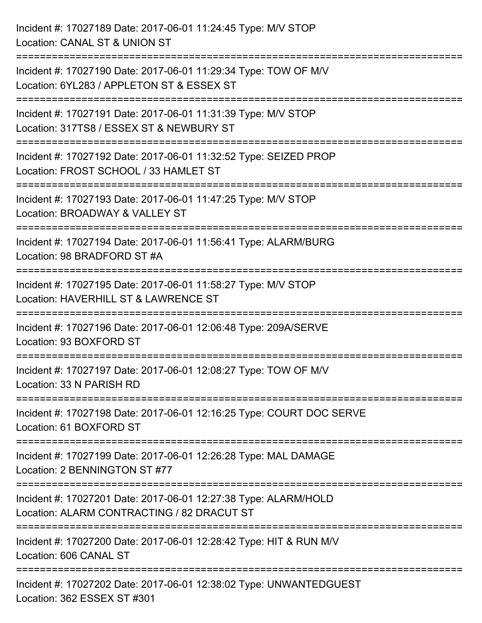| Incident #: 17027189 Date: 2017-06-01 11:24:45 Type: M/V STOP<br>Location: CANAL ST & UNION ST                                                  |
|-------------------------------------------------------------------------------------------------------------------------------------------------|
| :==============================<br>Incident #: 17027190 Date: 2017-06-01 11:29:34 Type: TOW OF M/V<br>Location: 6YL283 / APPLETON ST & ESSEX ST |
| Incident #: 17027191 Date: 2017-06-01 11:31:39 Type: M/V STOP<br>Location: 317TS8 / ESSEX ST & NEWBURY ST<br>:==========================        |
| Incident #: 17027192 Date: 2017-06-01 11:32:52 Type: SEIZED PROP<br>Location: FROST SCHOOL / 33 HAMLET ST                                       |
| Incident #: 17027193 Date: 2017-06-01 11:47:25 Type: M/V STOP<br>Location: BROADWAY & VALLEY ST<br>====================================         |
| Incident #: 17027194 Date: 2017-06-01 11:56:41 Type: ALARM/BURG<br>Location: 98 BRADFORD ST #A                                                  |
| Incident #: 17027195 Date: 2017-06-01 11:58:27 Type: M/V STOP<br>Location: HAVERHILL ST & LAWRENCE ST                                           |
| Incident #: 17027196 Date: 2017-06-01 12:06:48 Type: 209A/SERVE<br>Location: 93 BOXFORD ST                                                      |
| Incident #: 17027197 Date: 2017-06-01 12:08:27 Type: TOW OF M/V<br>Location: 33 N PARISH RD                                                     |
| Incident #: 17027198 Date: 2017-06-01 12:16:25 Type: COURT DOC SERVE<br>Location: 61 BOXFORD ST                                                 |
| Incident #: 17027199 Date: 2017-06-01 12:26:28 Type: MAL DAMAGE<br>Location: 2 BENNINGTON ST #77                                                |
| Incident #: 17027201 Date: 2017-06-01 12:27:38 Type: ALARM/HOLD<br>Location: ALARM CONTRACTING / 82 DRACUT ST                                   |
| Incident #: 17027200 Date: 2017-06-01 12:28:42 Type: HIT & RUN M/V<br>Location: 606 CANAL ST                                                    |
| Incident #: 17027202 Date: 2017-06-01 12:38:02 Type: UNWANTEDGUEST<br>Location: 362 ESSEX ST #301                                               |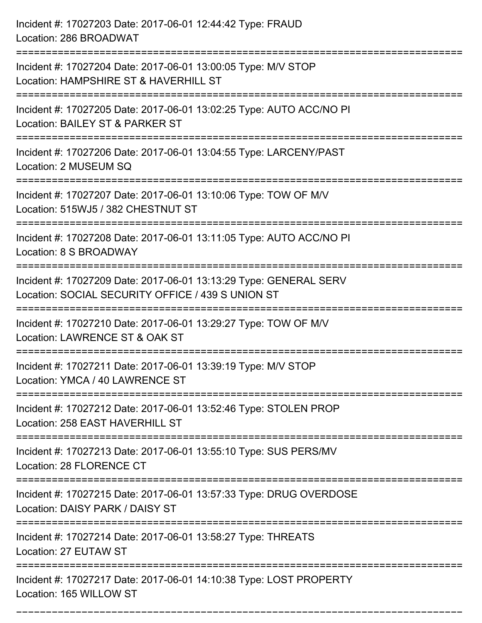| Incident #: 17027203 Date: 2017-06-01 12:44:42 Type: FRAUD<br>Location: 286 BROADWAT                                                                         |
|--------------------------------------------------------------------------------------------------------------------------------------------------------------|
| Incident #: 17027204 Date: 2017-06-01 13:00:05 Type: M/V STOP<br>Location: HAMPSHIRE ST & HAVERHILL ST                                                       |
| Incident #: 17027205 Date: 2017-06-01 13:02:25 Type: AUTO ACC/NO PI<br>Location: BAILEY ST & PARKER ST                                                       |
| Incident #: 17027206 Date: 2017-06-01 13:04:55 Type: LARCENY/PAST<br>Location: 2 MUSEUM SQ                                                                   |
| Incident #: 17027207 Date: 2017-06-01 13:10:06 Type: TOW OF M/V<br>Location: 515WJ5 / 382 CHESTNUT ST                                                        |
| Incident #: 17027208 Date: 2017-06-01 13:11:05 Type: AUTO ACC/NO PI<br>Location: 8 S BROADWAY                                                                |
| Incident #: 17027209 Date: 2017-06-01 13:13:29 Type: GENERAL SERV<br>Location: SOCIAL SECURITY OFFICE / 439 S UNION ST<br>===================<br>----------- |
| Incident #: 17027210 Date: 2017-06-01 13:29:27 Type: TOW OF M/V<br>Location: LAWRENCE ST & OAK ST                                                            |
| Incident #: 17027211 Date: 2017-06-01 13:39:19 Type: M/V STOP<br>Location: YMCA / 40 LAWRENCE ST                                                             |
| Incident #: 17027212 Date: 2017-06-01 13:52:46 Type: STOLEN PROP<br>Location: 258 EAST HAVERHILL ST                                                          |
| Incident #: 17027213 Date: 2017-06-01 13:55:10 Type: SUS PERS/MV<br>Location: 28 FLORENCE CT                                                                 |
| Incident #: 17027215 Date: 2017-06-01 13:57:33 Type: DRUG OVERDOSE<br>Location: DAISY PARK / DAISY ST                                                        |
| Incident #: 17027214 Date: 2017-06-01 13:58:27 Type: THREATS<br>Location: 27 EUTAW ST                                                                        |
| Incident #: 17027217 Date: 2017-06-01 14:10:38 Type: LOST PROPERTY<br>Location: 165 WILLOW ST                                                                |

===========================================================================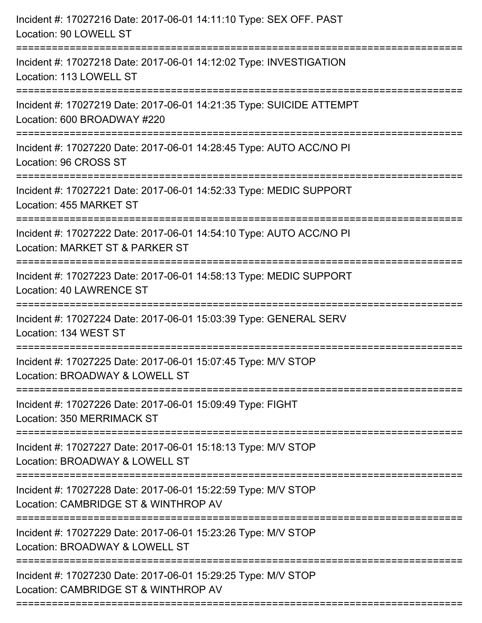| Incident #: 17027216 Date: 2017-06-01 14:11:10 Type: SEX OFF. PAST<br>Location: 90 LOWELL ST                                                                                  |
|-------------------------------------------------------------------------------------------------------------------------------------------------------------------------------|
| Incident #: 17027218 Date: 2017-06-01 14:12:02 Type: INVESTIGATION<br>Location: 113 LOWELL ST                                                                                 |
| Incident #: 17027219 Date: 2017-06-01 14:21:35 Type: SUICIDE ATTEMPT<br>Location: 600 BROADWAY #220                                                                           |
| Incident #: 17027220 Date: 2017-06-01 14:28:45 Type: AUTO ACC/NO PI<br>Location: 96 CROSS ST                                                                                  |
| Incident #: 17027221 Date: 2017-06-01 14:52:33 Type: MEDIC SUPPORT<br>Location: 455 MARKET ST<br>================================                                             |
| Incident #: 17027222 Date: 2017-06-01 14:54:10 Type: AUTO ACC/NO PI<br>Location: MARKET ST & PARKER ST<br>;=========================<br>------------------------------------- |
| Incident #: 17027223 Date: 2017-06-01 14:58:13 Type: MEDIC SUPPORT<br><b>Location: 40 LAWRENCE ST</b>                                                                         |
| Incident #: 17027224 Date: 2017-06-01 15:03:39 Type: GENERAL SERV<br>Location: 134 WEST ST                                                                                    |
| Incident #: 17027225 Date: 2017-06-01 15:07:45 Type: M/V STOP<br>Location: BROADWAY & LOWELL ST                                                                               |
| Incident #: 17027226 Date: 2017-06-01 15:09:49 Type: FIGHT<br>Location: 350 MERRIMACK ST                                                                                      |
| Incident #: 17027227 Date: 2017-06-01 15:18:13 Type: M/V STOP<br>Location: BROADWAY & LOWELL ST                                                                               |
| Incident #: 17027228 Date: 2017-06-01 15:22:59 Type: M/V STOP<br>Location: CAMBRIDGE ST & WINTHROP AV                                                                         |
| Incident #: 17027229 Date: 2017-06-01 15:23:26 Type: M/V STOP<br>Location: BROADWAY & LOWELL ST                                                                               |
| Incident #: 17027230 Date: 2017-06-01 15:29:25 Type: M/V STOP<br>Location: CAMBRIDGE ST & WINTHROP AV                                                                         |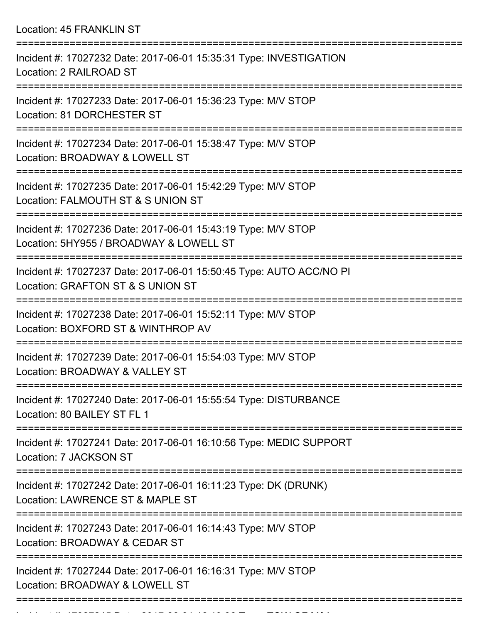Location: 45 FRANKLIN ST =========================================================================== Incident #: 17027232 Date: 2017-06-01 15:35:31 Type: INVESTIGATION Location: 2 RAILROAD ST =========================================================================== Incident #: 17027233 Date: 2017-06-01 15:36:23 Type: M/V STOP Location: 81 DORCHESTER ST =========================================================================== Incident #: 17027234 Date: 2017-06-01 15:38:47 Type: M/V STOP Location: BROADWAY & LOWELL ST =========================================================================== Incident #: 17027235 Date: 2017-06-01 15:42:29 Type: M/V STOP Location: FALMOUTH ST & S UNION ST =========================================================================== Incident #: 17027236 Date: 2017-06-01 15:43:19 Type: M/V STOP Location: 5HY955 / BROADWAY & LOWELL ST =========================================================================== Incident #: 17027237 Date: 2017-06-01 15:50:45 Type: AUTO ACC/NO PI Location: GRAFTON ST & S UNION ST =========================================================================== Incident #: 17027238 Date: 2017-06-01 15:52:11 Type: M/V STOP Location: BOXFORD ST & WINTHROP AV =========================================================================== Incident #: 17027239 Date: 2017-06-01 15:54:03 Type: M/V STOP Location: BROADWAY & VALLEY ST =========================================================================== Incident #: 17027240 Date: 2017-06-01 15:55:54 Type: DISTURBANCE Location: 80 BAILEY ST FL 1 =========================================================================== Incident #: 17027241 Date: 2017-06-01 16:10:56 Type: MEDIC SUPPORT Location: 7 JACKSON ST =========================================================================== Incident #: 17027242 Date: 2017-06-01 16:11:23 Type: DK (DRUNK) Location: LAWRENCE ST & MAPLE ST =========================================================================== Incident #: 17027243 Date: 2017-06-01 16:14:43 Type: M/V STOP Location: BROADWAY & CEDAR ST =========================================================================== Incident #: 17027244 Date: 2017-06-01 16:16:31 Type: M/V STOP Location: BROADWAY & LOWELL ST

===========================================================================

Incident #: 17027245 Date: 2017 06 01 16:19:36 Type: Township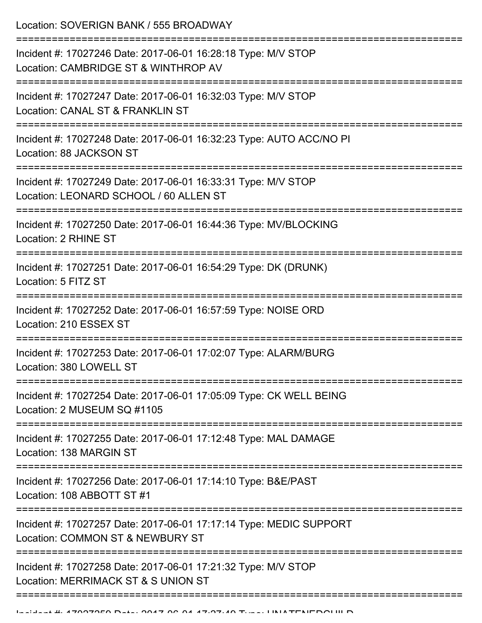Location: SOVERIGN BANK / 555 BROADWAY

| Incident #: 17027246 Date: 2017-06-01 16:28:18 Type: M/V STOP<br>Location: CAMBRIDGE ST & WINTHROP AV   |
|---------------------------------------------------------------------------------------------------------|
| Incident #: 17027247 Date: 2017-06-01 16:32:03 Type: M/V STOP<br>Location: CANAL ST & FRANKLIN ST       |
| Incident #: 17027248 Date: 2017-06-01 16:32:23 Type: AUTO ACC/NO PI<br>Location: 88 JACKSON ST          |
| Incident #: 17027249 Date: 2017-06-01 16:33:31 Type: M/V STOP<br>Location: LEONARD SCHOOL / 60 ALLEN ST |
| Incident #: 17027250 Date: 2017-06-01 16:44:36 Type: MV/BLOCKING<br>Location: 2 RHINE ST                |
| Incident #: 17027251 Date: 2017-06-01 16:54:29 Type: DK (DRUNK)<br>Location: 5 FITZ ST                  |
| Incident #: 17027252 Date: 2017-06-01 16:57:59 Type: NOISE ORD<br>Location: 210 ESSEX ST                |
| Incident #: 17027253 Date: 2017-06-01 17:02:07 Type: ALARM/BURG<br>Location: 380 LOWELL ST              |
| Incident #: 17027254 Date: 2017-06-01 17:05:09 Type: CK WELL BEING<br>Location: 2 MUSEUM SQ #1105       |
| Incident #: 17027255 Date: 2017-06-01 17:12:48 Type: MAL DAMAGE<br>Location: 138 MARGIN ST              |
| Incident #: 17027256 Date: 2017-06-01 17:14:10 Type: B&E/PAST<br>Location: 108 ABBOTT ST #1             |
| Incident #: 17027257 Date: 2017-06-01 17:17:14 Type: MEDIC SUPPORT<br>Location: COMMON ST & NEWBURY ST  |
| Incident #: 17027258 Date: 2017-06-01 17:21:32 Type: M/V STOP<br>Location: MERRIMACK ST & S UNION ST    |
|                                                                                                         |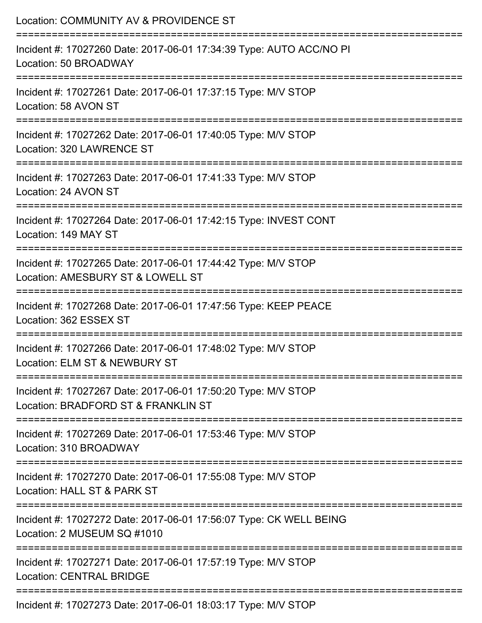| Location: COMMUNITY AV & PROVIDENCE ST                                                               |
|------------------------------------------------------------------------------------------------------|
| Incident #: 17027260 Date: 2017-06-01 17:34:39 Type: AUTO ACC/NO PI<br>Location: 50 BROADWAY         |
| Incident #: 17027261 Date: 2017-06-01 17:37:15 Type: M/V STOP<br>Location: 58 AVON ST                |
| Incident #: 17027262 Date: 2017-06-01 17:40:05 Type: M/V STOP<br>Location: 320 LAWRENCE ST           |
| Incident #: 17027263 Date: 2017-06-01 17:41:33 Type: M/V STOP<br>Location: 24 AVON ST                |
| Incident #: 17027264 Date: 2017-06-01 17:42:15 Type: INVEST CONT<br>Location: 149 MAY ST             |
| Incident #: 17027265 Date: 2017-06-01 17:44:42 Type: M/V STOP<br>Location: AMESBURY ST & LOWELL ST   |
| Incident #: 17027268 Date: 2017-06-01 17:47:56 Type: KEEP PEACE<br>Location: 362 ESSEX ST            |
| Incident #: 17027266 Date: 2017-06-01 17:48:02 Type: M/V STOP<br>Location: ELM ST & NEWBURY ST       |
| Incident #: 17027267 Date: 2017-06-01 17:50:20 Type: M/V STOP<br>Location: BRADFORD ST & FRANKLIN ST |
| Incident #: 17027269 Date: 2017-06-01 17:53:46 Type: M/V STOP<br>Location: 310 BROADWAY              |
| Incident #: 17027270 Date: 2017-06-01 17:55:08 Type: M/V STOP<br>Location: HALL ST & PARK ST         |
| Incident #: 17027272 Date: 2017-06-01 17:56:07 Type: CK WELL BEING<br>Location: 2 MUSEUM SQ #1010    |
| Incident #: 17027271 Date: 2017-06-01 17:57:19 Type: M/V STOP<br><b>Location: CENTRAL BRIDGE</b>     |
| $Jnoidont H. 47007072 Det 0.047 00.04 40.02.47 T_{VDA}$                                              |

Incident #: 17027273 Date: 2017-06-01 18:03:17 Type: M/V STOP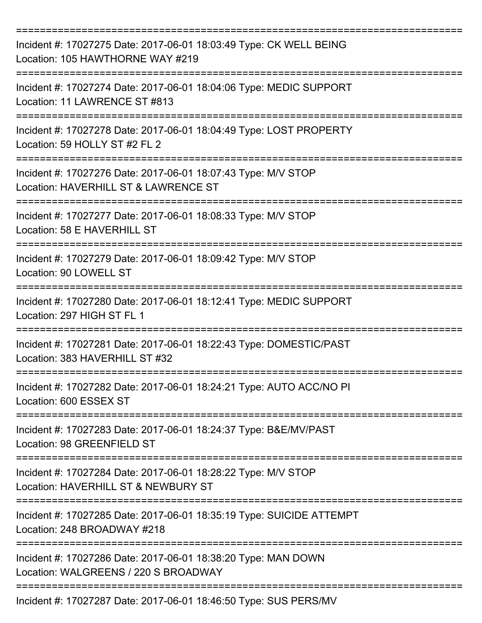| Incident #: 17027275 Date: 2017-06-01 18:03:49 Type: CK WELL BEING<br>Location: 105 HAWTHORNE WAY #219 |
|--------------------------------------------------------------------------------------------------------|
| Incident #: 17027274 Date: 2017-06-01 18:04:06 Type: MEDIC SUPPORT<br>Location: 11 LAWRENCE ST #813    |
| Incident #: 17027278 Date: 2017-06-01 18:04:49 Type: LOST PROPERTY<br>Location: 59 HOLLY ST #2 FL 2    |
| Incident #: 17027276 Date: 2017-06-01 18:07:43 Type: M/V STOP<br>Location: HAVERHILL ST & LAWRENCE ST  |
| Incident #: 17027277 Date: 2017-06-01 18:08:33 Type: M/V STOP<br>Location: 58 E HAVERHILL ST           |
| Incident #: 17027279 Date: 2017-06-01 18:09:42 Type: M/V STOP<br>Location: 90 LOWELL ST                |
| Incident #: 17027280 Date: 2017-06-01 18:12:41 Type: MEDIC SUPPORT<br>Location: 297 HIGH ST FL 1       |
| Incident #: 17027281 Date: 2017-06-01 18:22:43 Type: DOMESTIC/PAST<br>Location: 383 HAVERHILL ST #32   |
| Incident #: 17027282 Date: 2017-06-01 18:24:21 Type: AUTO ACC/NO PI<br>Location: 600 ESSEX ST          |
| Incident #: 17027283 Date: 2017-06-01 18:24:37 Type: B&E/MV/PAST<br>Location: 98 GREENFIELD ST         |
| Incident #: 17027284 Date: 2017-06-01 18:28:22 Type: M/V STOP<br>Location: HAVERHILL ST & NEWBURY ST   |
| Incident #: 17027285 Date: 2017-06-01 18:35:19 Type: SUICIDE ATTEMPT<br>Location: 248 BROADWAY #218    |
| Incident #: 17027286 Date: 2017-06-01 18:38:20 Type: MAN DOWN<br>Location: WALGREENS / 220 S BROADWAY  |
| Incident #: 17027287 Date: 2017-06-01 18:46:50 Type: SUS PERS/MV                                       |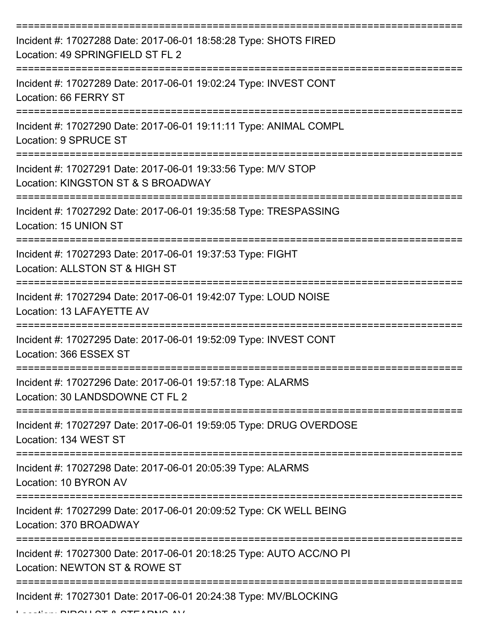| Incident #: 17027288 Date: 2017-06-01 18:58:28 Type: SHOTS FIRED<br>Location: 49 SPRINGFIELD ST FL 2        |
|-------------------------------------------------------------------------------------------------------------|
| Incident #: 17027289 Date: 2017-06-01 19:02:24 Type: INVEST CONT<br>Location: 66 FERRY ST                   |
| Incident #: 17027290 Date: 2017-06-01 19:11:11 Type: ANIMAL COMPL<br>Location: 9 SPRUCE ST                  |
| Incident #: 17027291 Date: 2017-06-01 19:33:56 Type: M/V STOP<br>Location: KINGSTON ST & S BROADWAY         |
| Incident #: 17027292 Date: 2017-06-01 19:35:58 Type: TRESPASSING<br>Location: 15 UNION ST                   |
| Incident #: 17027293 Date: 2017-06-01 19:37:53 Type: FIGHT<br>Location: ALLSTON ST & HIGH ST                |
| Incident #: 17027294 Date: 2017-06-01 19:42:07 Type: LOUD NOISE<br>Location: 13 LAFAYETTE AV<br>=========== |
| Incident #: 17027295 Date: 2017-06-01 19:52:09 Type: INVEST CONT<br>Location: 366 ESSEX ST                  |
| Incident #: 17027296 Date: 2017-06-01 19:57:18 Type: ALARMS<br>Location: 30 LANDSDOWNE CT FL 2              |
| Incident #: 17027297 Date: 2017-06-01 19:59:05 Type: DRUG OVERDOSE<br>Location: 134 WEST ST                 |
| Incident #: 17027298 Date: 2017-06-01 20:05:39 Type: ALARMS<br>Location: 10 BYRON AV                        |
| Incident #: 17027299 Date: 2017-06-01 20:09:52 Type: CK WELL BEING<br>Location: 370 BROADWAY                |
| Incident #: 17027300 Date: 2017-06-01 20:18:25 Type: AUTO ACC/NO PI<br>Location: NEWTON ST & ROWE ST        |
| Incident #: 17027301 Date: 2017-06-01 20:24:38 Type: MV/BLOCKING                                            |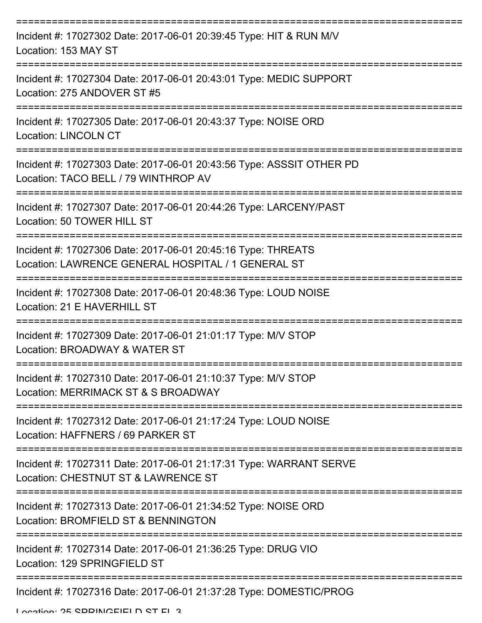| Incident #: 17027302 Date: 2017-06-01 20:39:45 Type: HIT & RUN M/V<br>Location: 153 MAY ST                         |
|--------------------------------------------------------------------------------------------------------------------|
| Incident #: 17027304 Date: 2017-06-01 20:43:01 Type: MEDIC SUPPORT<br>Location: 275 ANDOVER ST #5                  |
| Incident #: 17027305 Date: 2017-06-01 20:43:37 Type: NOISE ORD<br><b>Location: LINCOLN CT</b>                      |
| Incident #: 17027303 Date: 2017-06-01 20:43:56 Type: ASSSIT OTHER PD<br>Location: TACO BELL / 79 WINTHROP AV       |
| Incident #: 17027307 Date: 2017-06-01 20:44:26 Type: LARCENY/PAST<br>Location: 50 TOWER HILL ST                    |
| Incident #: 17027306 Date: 2017-06-01 20:45:16 Type: THREATS<br>Location: LAWRENCE GENERAL HOSPITAL / 1 GENERAL ST |
| Incident #: 17027308 Date: 2017-06-01 20:48:36 Type: LOUD NOISE<br>Location: 21 E HAVERHILL ST                     |
| Incident #: 17027309 Date: 2017-06-01 21:01:17 Type: M/V STOP<br>Location: BROADWAY & WATER ST                     |
| Incident #: 17027310 Date: 2017-06-01 21:10:37 Type: M/V STOP<br>Location: MERRIMACK ST & S BROADWAY               |
| Incident #: 17027312 Date: 2017-06-01 21:17:24 Type: LOUD NOISE<br>Location: HAFFNERS / 69 PARKER ST               |
| Incident #: 17027311 Date: 2017-06-01 21:17:31 Type: WARRANT SERVE<br>Location: CHESTNUT ST & LAWRENCE ST          |
| Incident #: 17027313 Date: 2017-06-01 21:34:52 Type: NOISE ORD<br>Location: BROMFIELD ST & BENNINGTON              |
| Incident #: 17027314 Date: 2017-06-01 21:36:25 Type: DRUG VIO<br>Location: 129 SPRINGFIELD ST                      |
| Incident #: 17027316 Date: 2017-06-01 21:37:28 Type: DOMESTIC/PROG                                                 |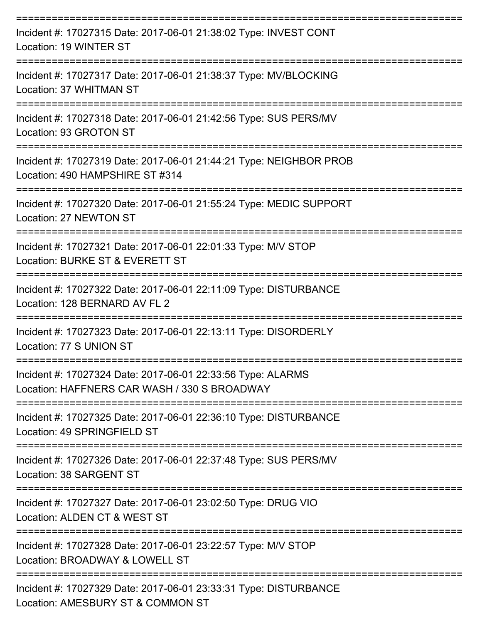| Incident #: 17027315 Date: 2017-06-01 21:38:02 Type: INVEST CONT<br>Location: 19 WINTER ST                       |
|------------------------------------------------------------------------------------------------------------------|
| Incident #: 17027317 Date: 2017-06-01 21:38:37 Type: MV/BLOCKING<br>Location: 37 WHITMAN ST                      |
| Incident #: 17027318 Date: 2017-06-01 21:42:56 Type: SUS PERS/MV<br>Location: 93 GROTON ST<br>------------------ |
| Incident #: 17027319 Date: 2017-06-01 21:44:21 Type: NEIGHBOR PROB<br>Location: 490 HAMPSHIRE ST #314            |
| Incident #: 17027320 Date: 2017-06-01 21:55:24 Type: MEDIC SUPPORT<br>Location: 27 NEWTON ST                     |
| Incident #: 17027321 Date: 2017-06-01 22:01:33 Type: M/V STOP<br>Location: BURKE ST & EVERETT ST                 |
| Incident #: 17027322 Date: 2017-06-01 22:11:09 Type: DISTURBANCE<br>Location: 128 BERNARD AV FL 2                |
| Incident #: 17027323 Date: 2017-06-01 22:13:11 Type: DISORDERLY<br>Location: 77 S UNION ST                       |
| Incident #: 17027324 Date: 2017-06-01 22:33:56 Type: ALARMS<br>Location: HAFFNERS CAR WASH / 330 S BROADWAY      |
| Incident #: 17027325 Date: 2017-06-01 22:36:10 Type: DISTURBANCE<br>Location: 49 SPRINGFIELD ST                  |
| Incident #: 17027326 Date: 2017-06-01 22:37:48 Type: SUS PERS/MV<br>Location: 38 SARGENT ST                      |
| Incident #: 17027327 Date: 2017-06-01 23:02:50 Type: DRUG VIO<br>Location: ALDEN CT & WEST ST                    |
| Incident #: 17027328 Date: 2017-06-01 23:22:57 Type: M/V STOP<br>Location: BROADWAY & LOWELL ST                  |
| Incident #: 17027329 Date: 2017-06-01 23:33:31 Type: DISTURBANCE<br>Location: AMESBURY ST & COMMON ST            |